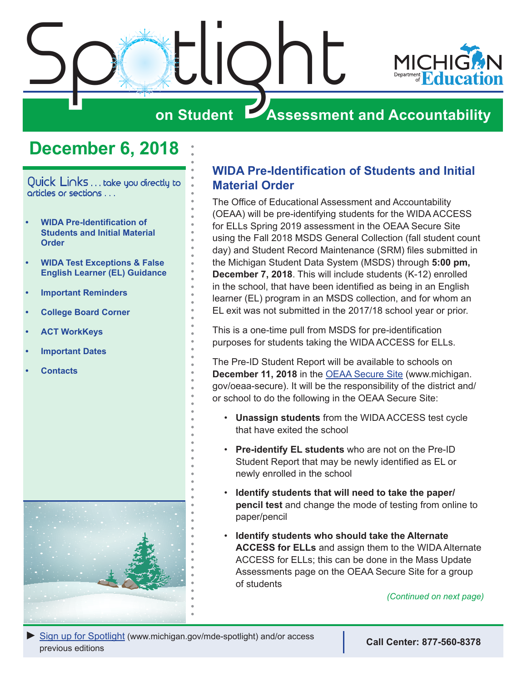<span id="page-0-0"></span>

## **December 6, 2018**

Quick Links . . . take you directly to articles or sections . . .

- **• WIDA Pre-Identification of Students and Initial Material Order**
- **• [WIDA Test Exceptions & False](#page-2-0)  [English Learner \(EL\) Guidance](#page-2-0)**
- **• [Important Reminders](#page-2-0)**
- **• [College Board Corner](#page-4-0)**
- **• [ACT WorkKeys](#page-6-0)**
- **• [Important Dates](#page-8-0)**
- **• [Contacts](#page-9-0)**



## **WIDA Pre-Identification of Students and Initial Material Order**

The Office of Educational Assessment and Accountability (OEAA) will be pre-identifying students for the WIDA ACCESS for ELLs Spring 2019 assessment in the OEAA Secure Site using the Fall 2018 MSDS General Collection (fall student count day) and Student Record Maintenance (SRM) files submitted in the Michigan Student Data System (MSDS) through **5:00 pm, December 7, 2018**. This will include students (K-12) enrolled in the school, that have been identified as being in an English learner (EL) program in an MSDS collection, and for whom an EL exit was not submitted in the 2017/18 school year or prior.

This is a one-time pull from MSDS for pre-identification purposes for students taking the WIDA ACCESS for ELLs.

The Pre-ID Student Report will be available to schools on **December 11, 2018** in the [OEAA Secure Site](http://www.michigan.gov/oeaa-secure) (www.michigan. gov/oeaa-secure). It will be the responsibility of the district and/ or school to do the following in the OEAA Secure Site:

- **Unassign students** from the WIDA ACCESS test cycle that have exited the school
- **Pre-identify EL students** who are not on the Pre-ID Student Report that may be newly identified as EL or newly enrolled in the school
- **Identify students that will need to take the paper/ pencil test** and change the mode of testing from online to paper/pencil
- **Identify students who should take the Alternate ACCESS for ELLs** and assign them to the WIDA Alternate ACCESS for ELLs; this can be done in the Mass Update Assessments page on the OEAA Secure Site for a group of students

*(Continued on next page)*

*►* [Sign up for Spotlight](https://public.govdelivery.com/accounts/MIMDE/subscriber/new) [\(www.michigan.gov/mde](www.michigan.gov/mde-spotlight)-spotlight) and/or access previous editions **Call Center: 877-560-8378**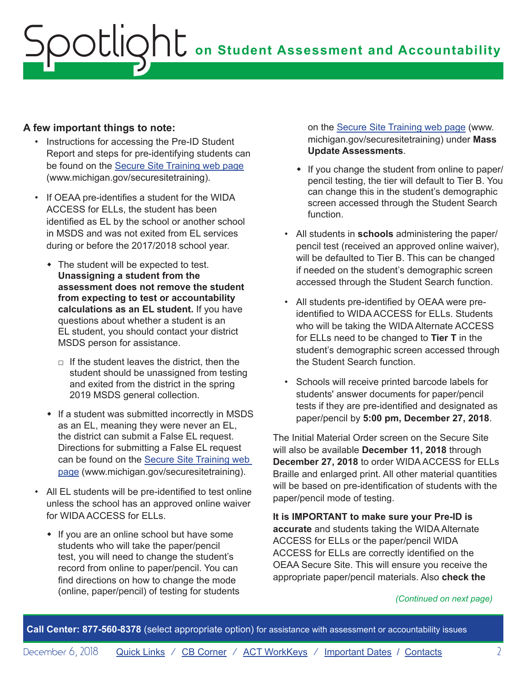### **A few important things to note:**

- Instructions for accessing the Pre-ID Student Report and steps for pre-identifying students can be found on the [Secure Site Training web page](http://www.michigan.gov/securesitetraining) (www.michigan.gov/securesitetraining).
- If OEAA pre-identifies a student for the WIDA ACCESS for ELLs, the student has been identified as EL by the school or another school in MSDS and was not exited from EL services during or before the 2017/2018 school year.
	- $\bullet$  The student will be expected to test. **Unassigning a student from the assessment does not remove the student from expecting to test or accountability calculations as an EL student.** If you have questions about whether a student is an EL student, you should contact your district MSDS person for assistance.
		- $\Box$  If the student leaves the district, then the student should be unassigned from testing and exited from the district in the spring 2019 MSDS general collection.
	- $\cdot$  If a student was submitted incorrectly in MSDS as an EL, meaning they were never an EL, the district can submit a False EL request. Directions for submitting a False EL request can be found on the [Secure Site Training web](http://www.michigan.gov/securesitetraining)  [page](http://www.michigan.gov/securesitetraining) (www.michigan.gov/securesitetraining).
- All EL students will be pre-identified to test online unless the school has an approved online waiver for WIDA ACCESS for ELLs.
	- If you are an online school but have some students who will take the paper/pencil test, you will need to change the student's record from online to paper/pencil. You can find directions on how to change the mode (online, paper/pencil) of testing for students

on the [Secure Site Training web page](http://www.michigan.gov/securesitetraining) (www. michigan.gov/securesitetraining) under **Mass Update Assessments**.

- If you change the student from online to paper/ pencil testing, the tier will default to Tier B. You can change this in the student's demographic screen accessed through the Student Search function.
- All students in **schools** administering the paper/ pencil test (received an approved online waiver), will be defaulted to Tier B. This can be changed if needed on the student's demographic screen accessed through the Student Search function.
- All students pre-identified by OEAA were preidentified to WIDA ACCESS for ELLs. Students who will be taking the WIDA Alternate ACCESS for ELLs need to be changed to **Tier T** in the student's demographic screen accessed through the Student Search function.
- Schools will receive printed barcode labels for students' answer documents for paper/pencil tests if they are pre-identified and designated as paper/pencil by **5:00 pm, December 27, 2018**.

The Initial Material Order screen on the Secure Site will also be available **December 11, 2018** through **December 27, 2018** to order WIDA ACCESS for ELLs Braille and enlarged print. All other material quantities will be based on pre-identification of students with the paper/pencil mode of testing.

**It is IMPORTANT to make sure your Pre-ID is accurate** and students taking the WIDA Alternate ACCESS for ELLs or the paper/pencil WIDA ACCESS for ELLs are correctly identified on the OEAA Secure Site. This will ensure you receive the appropriate paper/pencil materials. Also **check the** 

#### *(Continued on next page)*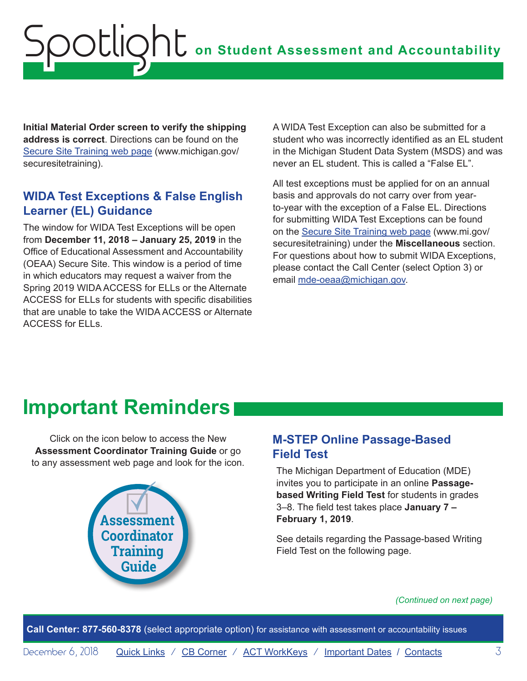<span id="page-2-0"></span>**Initial Material Order screen to verify the shipping address is correct**. Directions can be found on the [Secure Site Training web page](http://www.michigan.gov/securesitetraining) (www.michigan.gov/ securesitetraining).

## **WIDA Test Exceptions & False English Learner (EL) Guidance**

The window for WIDA Test Exceptions will be open from **December 11, 2018 – January 25, 2019** in the Office of Educational Assessment and Accountability (OEAA) Secure Site. This window is a period of time in which educators may request a waiver from the Spring 2019 WIDA ACCESS for ELLs or the Alternate ACCESS for ELLs for students with specific disabilities that are unable to take the WIDA ACCESS or Alternate ACCESS for ELLs.

A WIDA Test Exception can also be submitted for a student who was incorrectly identified as an EL student in the Michigan Student Data System (MSDS) and was never an EL student. This is called a "False EL".

All test exceptions must be applied for on an annual basis and approvals do not carry over from yearto-year with the exception of a False EL. Directions for submitting WIDA Test Exceptions can be found on the [Secure Site Training web page](http://www.michigan.gov/securesitetraining) (www.mi.gov/ securesitetraining) under the **Miscellaneous** section. For questions about how to submit WIDA Exceptions, please contact the Call Center (select Option 3) or email [mde-oeaa@michigan.gov](mailto:mde-oeaa%40michigan.gov?subject=).

## **Important Reminders**

Click on the icon below to access the New **Assessment Coordinator Training Guide** or go to any assessment web page and look for the icon.



## **M-STEP Online Passage-Based Field Test**

The Michigan Department of Education (MDE) invites you to participate in an online **Passagebased Writing Field Test** for students in grades 3–8. The field test takes place **January 7 – February 1, 2019**.

See details regarding the Passage-based Writing Field Test on the following page.

#### *(Continued on next page)*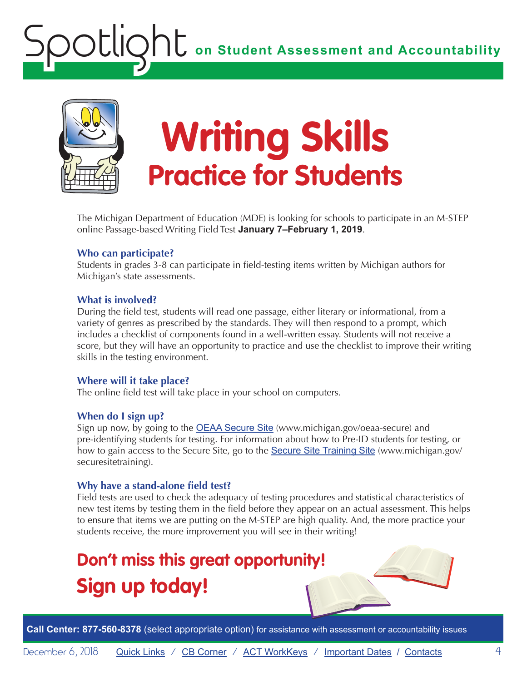

# **Writing Skills Practice for Students**

The Michigan Department of Education (MDE) is looking for schools to participate in an M-STEP online Passage-based Writing Field Test **January 7–February 1, 2019**.

### **Who can participate?**

Students in grades 3-8 can participate in field-testing items written by Michigan authors for Michigan's state assessments.

### **What is involved?**

During the field test, students will read one passage, either literary or informational, from a variety of genres as prescribed by the standards. They will then respond to a prompt, which includes a checklist of components found in a well-written essay. Students will not receive a score, but they will have an opportunity to practice and use the checklist to improve their writing skills in the testing environment.

### **Where will it take place?**

The online field test will take place in your school on computers.

### **When do I sign up?**

Sign up now, by going to the **[OEAA Secure Site](http://www.michigan.gov/oeaa-secure)** (www.michigan.gov/oeaa-secure) and pre-identifying students for testing. For information about how to Pre-ID students for testing, or how to gain access to the Secure Site, go to the [Secure Site Training Site](http://www.michigan.gov/securesitetraining) (www.michigan.gov/ securesitetraining).

### **Why have a stand-alone field test?**

Field tests are used to check the adequacy of testing procedures and statistical characteristics of new test items by testing them in the field before they appear on an actual assessment. This helps to ensure that items we are putting on the M-STEP are high quality. And, the more practice your students receive, the more improvement you will see in their writing!

## **Don't miss this great opportunity! Sign up today!**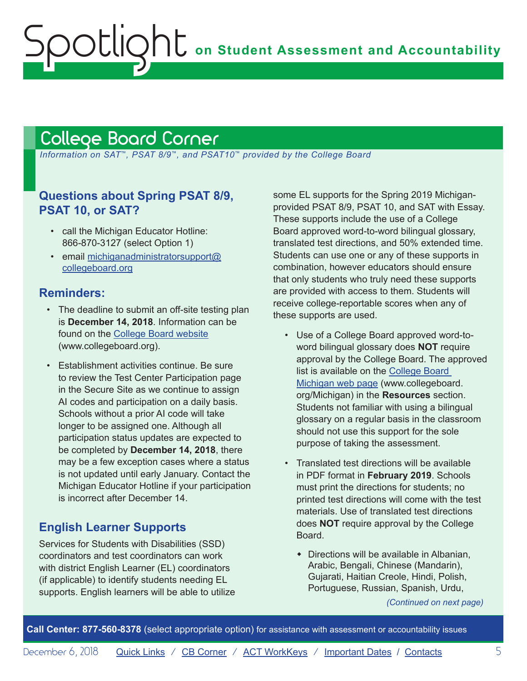## <span id="page-4-1"></span><span id="page-4-0"></span>College Board Corner

 *Information on SAT*™*, PSAT 8/9*™*, and PSAT10*™ *provided by the College Board*

## **Questions about Spring PSAT 8/9, PSAT 10, or SAT?**

- call the Michigan Educator Hotline: 866-870-3127 (select Option 1)
- email [michiganadministratorsupport@](mailto:michiganadministratorsupport%40collegeboard.org?subject=) [collegeboard.org](mailto:michiganadministratorsupport%40collegeboard.org?subject=)

### **Reminders:**

- The deadline to submit an off-site testing plan is **December 14, 2018**. Information can be found on the [College Board website](https://www.collegeboard.org/pdf/ssd/ssd-coordinator.pdf) (www.collegeboard.org).
- Establishment activities continue. Be sure to review the Test Center Participation page in the Secure Site as we continue to assign AI codes and participation on a daily basis. Schools without a prior AI code will take longer to be assigned one. Although all participation status updates are expected to be completed by **December 14, 2018**, there may be a few exception cases where a status is not updated until early January. Contact the Michigan Educator Hotline if your participation is incorrect after December 14.

## **English Learner Supports**

Services for Students with Disabilities (SSD) coordinators and test coordinators can work with district English Learner (EL) coordinators (if applicable) to identify students needing EL supports. English learners will be able to utilize some EL supports for the Spring 2019 Michiganprovided PSAT 8/9, PSAT 10, and SAT with Essay. These supports include the use of a College Board approved word-to-word bilingual glossary, translated test directions, and 50% extended time. Students can use one or any of these supports in combination, however educators should ensure that only students who truly need these supports are provided with access to them. Students will receive college-reportable scores when any of these supports are used.

- Use of a College Board approved word-toword bilingual glossary does **NOT** require approval by the College Board. The approved list is available on the [College Board](http://www.collegeboard.org/michigan)  [Michigan web page](http://www.collegeboard.org/michigan) (www.collegeboard. org/Michigan) in the **Resources** section. Students not familiar with using a bilingual glossary on a regular basis in the classroom should not use this support for the sole purpose of taking the assessment.
- Translated test directions will be available in PDF format in **February 2019**. Schools must print the directions for students; no printed test directions will come with the test materials. Use of translated test directions does **NOT** require approval by the College Board.
	- $\bullet$  Directions will be available in Albanian, Arabic, Bengali, Chinese (Mandarin), Gujarati, Haitian Creole, Hindi, Polish, Portuguese, Russian, Spanish, Urdu,

*(Continued on next page)*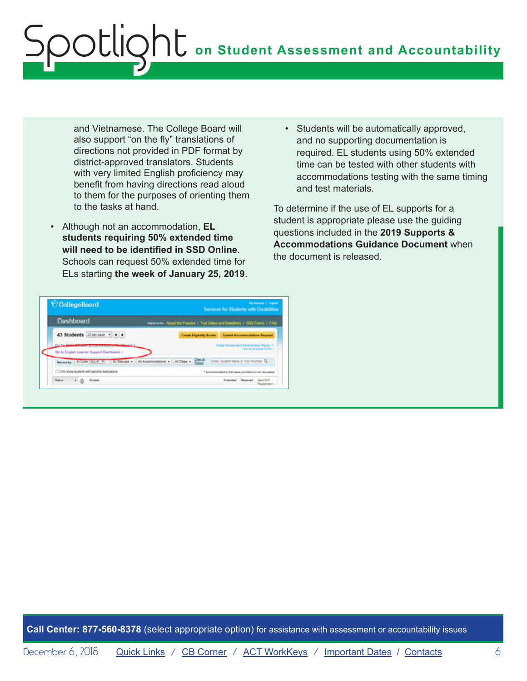and Vietnamese. The College Board will also support "on the fly" translations of directions not provided in PDF format by district-approved translators. Students with very limited English proficiency may benefit from having directions read aloud to them for the purposes of orienting them to the tasks at hand.

- Although not an accommodation, **EL students requiring 50% extended time will need to be identified in SSD Online**. Schools can request 50% extended time for ELs starting **the week of January 25, 2019**.
- Students will be automatically approved, and no supporting documentation is required. EL students using 50% extended time can be tested with other students with accommodations testing with the same timing and test materials.

To determine if the use of EL supports for a student is appropriate please use the guiding questions included in the **2019 Supports & Accommodations Guidance Document** when the document is released.

| CollegeBoard                                                                                    | <b>My Annual   Engrid</b><br>Services for Students with Disabilities                                             |
|-------------------------------------------------------------------------------------------------|------------------------------------------------------------------------------------------------------------------|
| <b>Dashboard</b>                                                                                | Helpfal Links: About the Process 1 Test Dales and Deadlines 1 330 Forms 1 FAQ                                    |
| 43 Students 25 per page v 4 P                                                                   | Create Eliphility Boster   Submit Accommodations Request                                                         |
| Co. To distant for any accommodated the shipped by<br>Go to English Learner Support Dashboard > | Create Nonstandard Administration Report 3<br>How to samplete 100% >                                             |
|                                                                                                 | Neverty: Al Code (AL Al V) Al Statues . Al Accommodators . Al Cates . Suppl<br>EVIN Student Name or SSD Number Q |
| C Only show students with pending Applications                                                  | * Accommodations that ware provided but not requested                                                            |
|                                                                                                 |                                                                                                                  |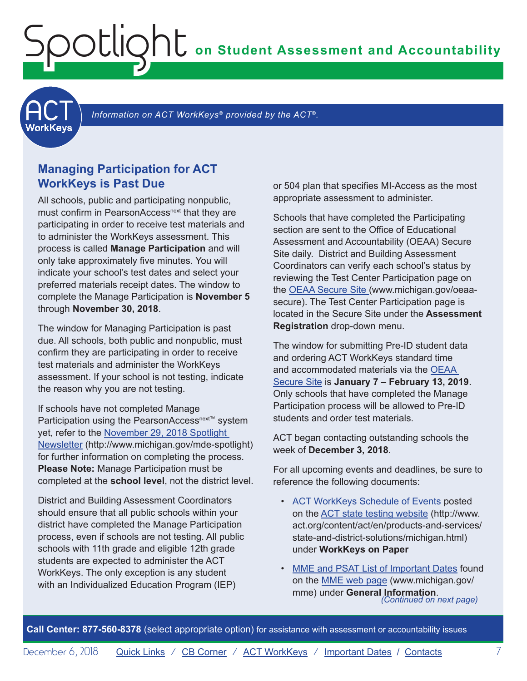**on Student Assessment and Accountability**

<span id="page-6-1"></span>

Information on ACT WorkKeys<sup>®</sup> provided by the ACT<sup>®</sup>.

### **Managing Participation for ACT WorkKeys is Past Due**

<span id="page-6-0"></span>Spotlight

All schools, public and participating nonpublic, must confirm in PearsonAccess<sup>next</sup> that they are participating in order to receive test materials and to administer the WorkKeys assessment. This process is called **Manage Participation** and will only take approximately five minutes. You will indicate your school's test dates and select your preferred materials receipt dates. The window to complete the Manage Participation is **November 5** through **November 30, 2018**.

The window for Managing Participation is past due. All schools, both public and nonpublic, must confirm they are participating in order to receive test materials and administer the WorkKeys assessment. If your school is not testing, indicate the reason why you are not testing.

If schools have not completed Manage Participation using the PearsonAccess<sup>next™</sup> system yet, refer to the [November 29, 2018 Spotlight](https://www.michigan.gov/documents/mde/Spotlight_11-29-18_639523_7.pdf)  [Newsletter](https://www.michigan.gov/documents/mde/Spotlight_11-29-18_639523_7.pdf) (http://www.michigan.gov/mde-spotlight) for further information on completing the process. **Please Note:** Manage Participation must be completed at the **school level**, not the district level.

District and Building Assessment Coordinators should ensure that all public schools within your district have completed the Manage Participation process, even if schools are not testing. All public schools with 11th grade and eligible 12th grade students are expected to administer the ACT WorkKeys. The only exception is any student with an Individualized Education Program (IEP)

or 504 plan that specifies MI-Access as the most appropriate assessment to administer.

Schools that have completed the Participating section are sent to the Office of Educational Assessment and Accountability (OEAA) Secure Site daily. District and Building Assessment Coordinators can verify each school's status by reviewing the Test Center Participation page on the [OEAA Secure Site \(](http://www.michigan.gov/oeaa-secure)www.michigan.gov/oeaasecure). The Test Center Participation page is located in the Secure Site under the **Assessment Registration** drop-down menu.

The window for submitting Pre-ID student data and ordering ACT WorkKeys standard time and accommodated materials via the [OEAA](http://www.michigan.gov/oeaa-secure)  [Secure Site](http://www.michigan.gov/oeaa-secure) is **January 7 – February 13, 2019**. Only schools that have completed the Manage Participation process will be allowed to Pre-ID students and order test materials.

ACT began contacting outstanding schools the week of **December 3, 2018**.

For all upcoming events and deadlines, be sure to reference the following documents:

- [ACT WorkKeys Schedule of Events](http://www.act.org/content/dam/act/unsecured/documents/ScheduleofEventsWorkKeys-MI.pdf) posted on the [ACT state testing website](http://www.act.org/content/act/en/products-and-services/state-and-district-solutions/michigan.html) (http://www. act.org/content/act/en/products-and-services/ state-and-district-solutions/michigan.html) under **WorkKeys on Paper**
- [MME and PSAT List of Important Dates](https://www.michigan.gov/documents/mde/MME_List_of_Important_Dates_634790_7.pdf) found on the [MME web page](www.michigan.gov/mme) (www.michigan.gov/ mme) under **General Information**. *(Continued on next page)*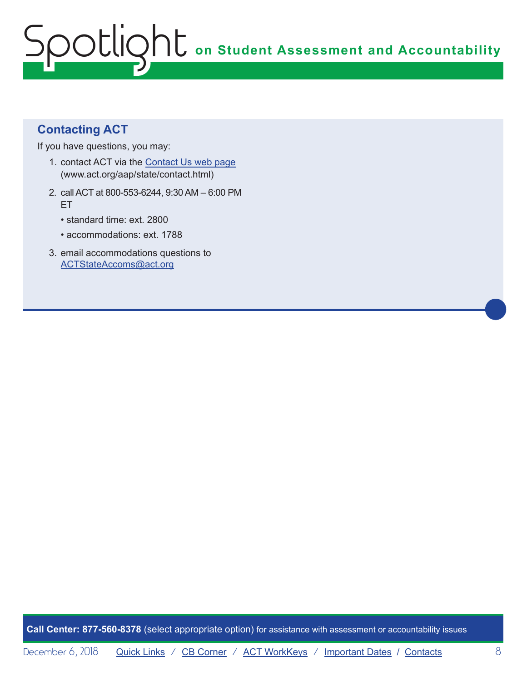## **Contacting ACT**

If you have questions, you may:

- 1. contact ACT via the [Contact Us web page](http://www.act.org/aap/state/contact.html) [\(www.act.org/aap/state/contact.html\)](www.act.org/aap/state/contact.html)
- 2. call ACT at 800-553-6244, 9:30 AM 6:00 PM ET
	- standard time: ext. 2800
	- accommodations: ext. 1788
- 3. email accommodations questions to [ACTStateAccoms@act.org](mailto:ACTStateAccoms%40act.org?subject=)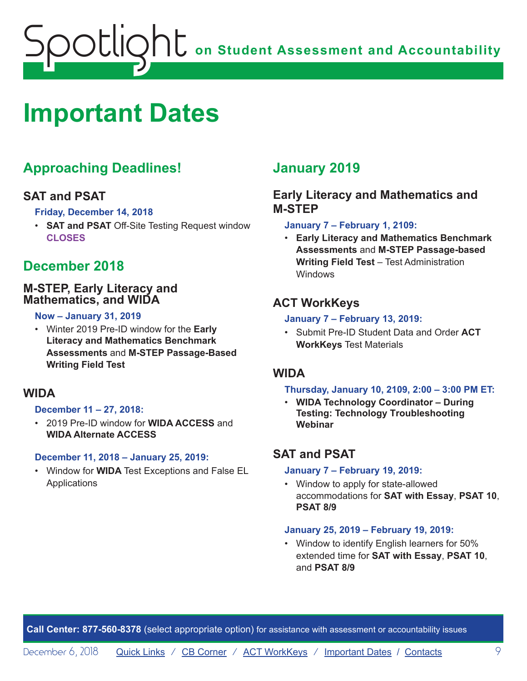<span id="page-8-0"></span>

## <span id="page-8-1"></span>**Important Dates**

## **Approaching Deadlines!**

### **SAT and PSAT**

**Friday, December 14, 2018**

• **SAT and PSAT** Off-Site Testing Request window **CLOSES**

## **December 2018**

### **M-STEP, Early Literacy and Mathematics, and WIDA**

#### **Now – January 31, 2019**

• Winter 2019 Pre-ID window for the **Early Literacy and Mathematics Benchmark Assessments** and **M-STEP Passage-Based Writing Field Test**

### **WIDA**

### **December 11 – 27, 2018:**

• 2019 Pre-ID window for **WIDA ACCESS** and **WIDA Alternate ACCESS**

#### **December 11, 2018 – January 25, 2019:**

• Window for **WIDA** Test Exceptions and False EL **Applications** 

## **January 2019**

## **Early Literacy and Mathematics and M-STEP**

#### **January 7 – February 1, 2109:**

• **Early Literacy and Mathematics Benchmark Assessments** and **M-STEP Passage-based Writing Field Test** – Test Administration Windows

## **ACT WorkKeys**

#### **January 7 – February 13, 2019:**

• Submit Pre-ID Student Data and Order **ACT WorkKeys** Test Materials

### **WIDA**

#### **Thursday, January 10, 2109, 2:00 – 3:00 PM ET:**

• **WIDA Technology Coordinator – During Testing: Technology Troubleshooting Webinar**

## **SAT and PSAT**

### **January 7 – February 19, 2019:**

• Window to apply for state-allowed accommodations for **SAT with Essay**, **PSAT 10**, **PSAT 8/9**

#### **January 25, 2019 – February 19, 2019:**

• Window to identify English learners for 50% extended time for **SAT with Essay**, **PSAT 10**, and **PSAT 8/9**

**Call Center: 877-560-8378** (select appropriate option) for assistance with assessment or accountability issues

December 6, 2018 [Quick Links](#page-0-0) / [CB Corner](#page-4-1) / [ACT WorkKeys](#page-6-1) / [Important Dates](#page-8-1) / [Contacts](#page-9-1) 9